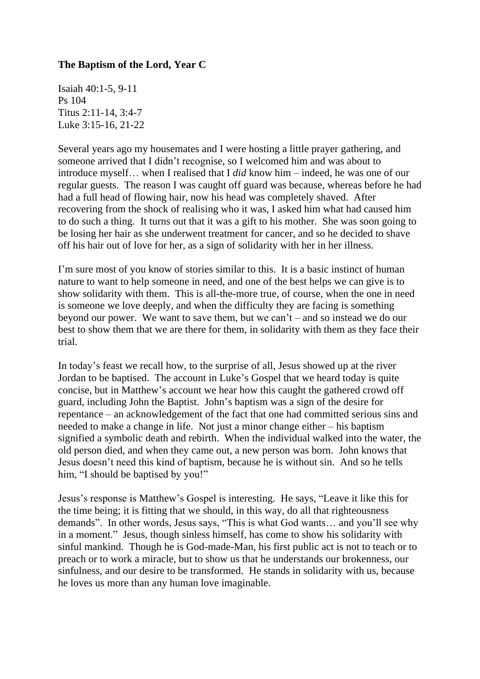## **The Baptism of the Lord, Year C**

Isaiah 40:1-5, 9-11 Ps 104 Titus 2:11-14, 3:4-7 Luke 3:15-16, 21-22

Several years ago my housemates and I were hosting a little prayer gathering, and someone arrived that I didn't recognise, so I welcomed him and was about to introduce myself… when I realised that I *did* know him – indeed, he was one of our regular guests. The reason I was caught off guard was because, whereas before he had had a full head of flowing hair, now his head was completely shaved. After recovering from the shock of realising who it was, I asked him what had caused him to do such a thing. It turns out that it was a gift to his mother. She was soon going to be losing her hair as she underwent treatment for cancer, and so he decided to shave off his hair out of love for her, as a sign of solidarity with her in her illness.

I'm sure most of you know of stories similar to this. It is a basic instinct of human nature to want to help someone in need, and one of the best helps we can give is to show solidarity with them. This is all-the-more true, of course, when the one in need is someone we love deeply, and when the difficulty they are facing is something beyond our power. We want to save them, but we can't – and so instead we do our best to show them that we are there for them, in solidarity with them as they face their trial.

In today's feast we recall how, to the surprise of all, Jesus showed up at the river Jordan to be baptised. The account in Luke's Gospel that we heard today is quite concise, but in Matthew's account we hear how this caught the gathered crowd off guard, including John the Baptist. John's baptism was a sign of the desire for repentance – an acknowledgement of the fact that one had committed serious sins and needed to make a change in life. Not just a minor change either – his baptism signified a symbolic death and rebirth. When the individual walked into the water, the old person died, and when they came out, a new person was born. John knows that Jesus doesn't need this kind of baptism, because he is without sin. And so he tells him. "I should be baptised by you!"

Jesus's response is Matthew's Gospel is interesting. He says, "Leave it like this for the time being; it is fitting that we should, in this way, do all that righteousness demands". In other words, Jesus says, "This is what God wants… and you'll see why in a moment." Jesus, though sinless himself, has come to show his solidarity with sinful mankind. Though he is God-made-Man, his first public act is not to teach or to preach or to work a miracle, but to show us that he understands our brokenness, our sinfulness, and our desire to be transformed. He stands in solidarity with us, because he loves us more than any human love imaginable.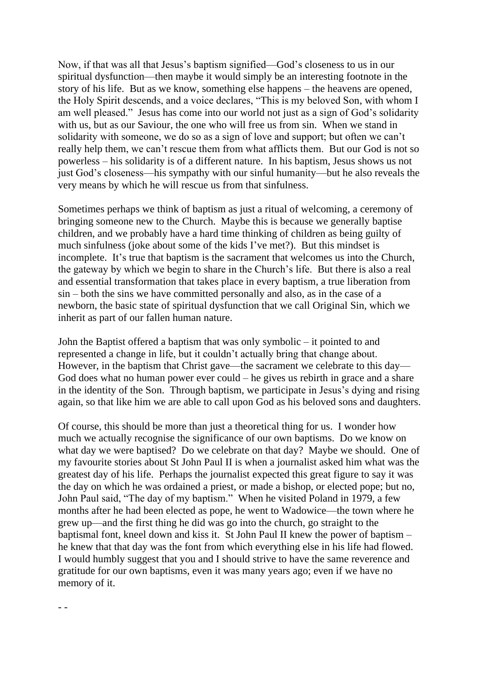Now, if that was all that Jesus's baptism signified—God's closeness to us in our spiritual dysfunction—then maybe it would simply be an interesting footnote in the story of his life. But as we know, something else happens – the heavens are opened, the Holy Spirit descends, and a voice declares, "This is my beloved Son, with whom I am well pleased." Jesus has come into our world not just as a sign of God's solidarity with us, but as our Saviour, the one who will free us from sin. When we stand in solidarity with someone, we do so as a sign of love and support; but often we can't really help them, we can't rescue them from what afflicts them. But our God is not so powerless – his solidarity is of a different nature. In his baptism, Jesus shows us not just God's closeness—his sympathy with our sinful humanity—but he also reveals the very means by which he will rescue us from that sinfulness.

Sometimes perhaps we think of baptism as just a ritual of welcoming, a ceremony of bringing someone new to the Church. Maybe this is because we generally baptise children, and we probably have a hard time thinking of children as being guilty of much sinfulness (joke about some of the kids I've met?). But this mindset is incomplete. It's true that baptism is the sacrament that welcomes us into the Church, the gateway by which we begin to share in the Church's life. But there is also a real and essential transformation that takes place in every baptism, a true liberation from sin – both the sins we have committed personally and also, as in the case of a newborn, the basic state of spiritual dysfunction that we call Original Sin, which we inherit as part of our fallen human nature.

John the Baptist offered a baptism that was only symbolic – it pointed to and represented a change in life, but it couldn't actually bring that change about. However, in the baptism that Christ gave—the sacrament we celebrate to this day— God does what no human power ever could – he gives us rebirth in grace and a share in the identity of the Son. Through baptism, we participate in Jesus's dying and rising again, so that like him we are able to call upon God as his beloved sons and daughters.

Of course, this should be more than just a theoretical thing for us. I wonder how much we actually recognise the significance of our own baptisms. Do we know on what day we were baptised? Do we celebrate on that day? Maybe we should. One of my favourite stories about St John Paul II is when a journalist asked him what was the greatest day of his life. Perhaps the journalist expected this great figure to say it was the day on which he was ordained a priest, or made a bishop, or elected pope; but no, John Paul said, "The day of my baptism." When he visited Poland in 1979, a few months after he had been elected as pope, he went to Wadowice—the town where he grew up—and the first thing he did was go into the church, go straight to the baptismal font, kneel down and kiss it. St John Paul II knew the power of baptism – he knew that that day was the font from which everything else in his life had flowed. I would humbly suggest that you and I should strive to have the same reverence and gratitude for our own baptisms, even it was many years ago; even if we have no memory of it.